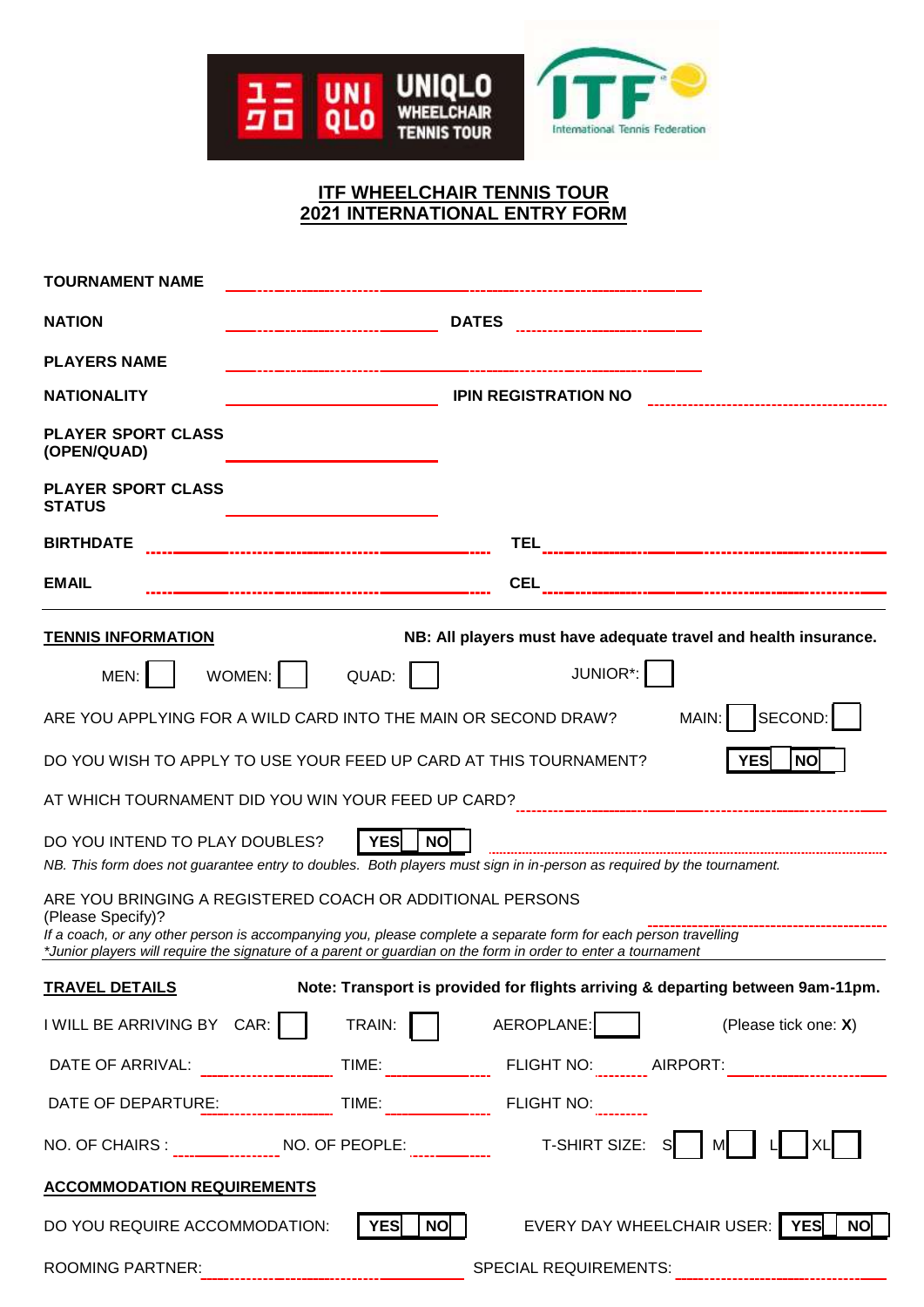

# **ITF WHEELCHAIR TENNIS TOUR 2021 INTERNATIONAL ENTRY FORM**

| <b>TOURNAMENT NAME</b>                                                                                                                                                                                                        |                             |                  |                                     |                                                                                |  |  |
|-------------------------------------------------------------------------------------------------------------------------------------------------------------------------------------------------------------------------------|-----------------------------|------------------|-------------------------------------|--------------------------------------------------------------------------------|--|--|
| <b>NATION</b>                                                                                                                                                                                                                 |                             |                  |                                     |                                                                                |  |  |
| <b>PLAYERS NAME</b>                                                                                                                                                                                                           |                             |                  | ----------------------------------- |                                                                                |  |  |
| <b>NATIONALITY</b>                                                                                                                                                                                                            | <b>IPIN REGISTRATION NO</b> |                  |                                     |                                                                                |  |  |
| <b>PLAYER SPORT CLASS</b><br>(OPEN/QUAD)                                                                                                                                                                                      |                             |                  |                                     |                                                                                |  |  |
| <b>PLAYER SPORT CLASS</b><br><b>STATUS</b>                                                                                                                                                                                    |                             |                  |                                     |                                                                                |  |  |
| <b>BIRTHDATE</b>                                                                                                                                                                                                              |                             |                  |                                     |                                                                                |  |  |
| <b>EMAIL</b>                                                                                                                                                                                                                  |                             |                  |                                     |                                                                                |  |  |
| <b>TENNIS INFORMATION</b>                                                                                                                                                                                                     |                             |                  |                                     | NB: All players must have adequate travel and health insurance.                |  |  |
| MEN:                                                                                                                                                                                                                          | WOMEN:                      | QUAD:            | JUNIOR*:                            |                                                                                |  |  |
| ARE YOU APPLYING FOR A WILD CARD INTO THE MAIN OR SECOND DRAW?                                                                                                                                                                |                             |                  |                                     | $ $ SECOND: $ $<br>MAIN:                                                       |  |  |
| <b>YES</b><br>DO YOU WISH TO APPLY TO USE YOUR FEED UP CARD AT THIS TOURNAMENT?<br><b>NO</b>                                                                                                                                  |                             |                  |                                     |                                                                                |  |  |
| AT WHICH TOURNAMENT DID YOU WIN YOUR FEED UP CARD? [11] [11] 11] 12] [12] [12] 2011 2012 [12] 2012 2012 2012 20                                                                                                               |                             |                  |                                     |                                                                                |  |  |
| YES<br>DO YOU INTEND TO PLAY DOUBLES?<br><b>NO</b><br>NB. This form does not guarantee entry to doubles. Both players must sign in in-person as required by the tournament.                                                   |                             |                  |                                     |                                                                                |  |  |
| ARE YOU BRINGING A REGISTERED COACH OR ADDITIONAL PERSONS<br>(Please Specify)?<br>If a coach, or any other person is accompanying you, please complete a separate form for each person travelling                             |                             |                  |                                     |                                                                                |  |  |
| *Junior players will require the signature of a parent or guardian on the form in order to enter a tournament                                                                                                                 |                             |                  |                                     |                                                                                |  |  |
| <b>TRAVEL DETAILS</b>                                                                                                                                                                                                         |                             |                  |                                     | Note: Transport is provided for flights arriving & departing between 9am-11pm. |  |  |
| I WILL BE ARRIVING BY $CAR:$                                                                                                                                                                                                  |                             | TRAIN:           | AEROPLANE:                          | (Please tick one: X)                                                           |  |  |
|                                                                                                                                                                                                                               |                             |                  |                                     |                                                                                |  |  |
| DATE OF DEPARTURE: [19] TIME: [19] TIME: [19] TIME: [19] FLIGHT NO: [19] TIME: [19] TIME: [19] TIME: [19] TIME: [19] TIME: [19] TIME: [19] TIME: [19] TIME: [19] TIME: [19] TIME: [19] TIME: [19] TIME: [19] TIME: [19] TIME: |                             |                  |                                     |                                                                                |  |  |
| NO. OF CHAIRS : _________________NO. OF PEOPLE: ________________________________T-SHIRT SIZE:                                                                                                                                 |                             |                  |                                     | SI<br>MI                                                                       |  |  |
| <b>ACCOMMODATION REQUIREMENTS</b>                                                                                                                                                                                             |                             |                  |                                     |                                                                                |  |  |
| DO YOU REQUIRE ACCOMMODATION:                                                                                                                                                                                                 |                             | YES<br><b>NO</b> | EVERY DAY WHEELCHAIR USER:          | YES<br><b>NO</b>                                                               |  |  |
| <b>ROOMING PARTNER:</b>                                                                                                                                                                                                       |                             |                  | <b>SPECIAL REQUIREMENTS:</b>        |                                                                                |  |  |